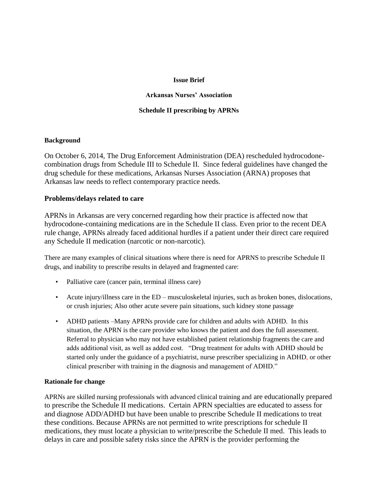### **Issue Brief**

### **Arkansas Nurses' Association**

### **Schedule II prescribing by APRNs**

#### **Background**

On October 6, 2014, The Drug Enforcement Administration (DEA) rescheduled hydrocodonecombination drugs from Schedule III to Schedule II. Since federal guidelines have changed the drug schedule for these medications, Arkansas Nurses Association (ARNA) proposes that Arkansas law needs to reflect contemporary practice needs.

### **Problems/delays related to care**

APRNs in Arkansas are very concerned regarding how their practice is affected now that hydrocodone-containing medications are in the Schedule II class. Even prior to the recent DEA rule change, APRNs already faced additional hurdles if a patient under their direct care required any Schedule II medication (narcotic or non-narcotic).

There are many examples of clinical situations where there is need for APRNS to prescribe Schedule II drugs, and inability to prescribe results in delayed and fragmented care:

- Palliative care (cancer pain, terminal illness care)
- Acute injury/illness care in the ED musculoskeletal injuries, such as broken bones, dislocations, or crush injuries; Also other acute severe pain situations, such kidney stone passage
- ADHD patients –Many APRNs provide care for children and adults with ADHD. In this situation, the APRN is the care provider who knows the patient and does the full assessment. Referral to physician who may not have established patient relationship fragments the care and adds additional visit, as well as added cost. "Drug treatment for adults with ADHD should be started only under the guidance of a psychiatrist, nurse prescriber specializing in ADHD, or other clinical prescriber with training in the diagnosis and management of ADHD."

#### **Rationale for change**

APRNs are skilled nursing professionals with advanced clinical training and are educationally prepared to prescribe the Schedule II medications. Certain APRN specialties are educated to assess for and diagnose ADD/ADHD but have been unable to prescribe Schedule II medications to treat these conditions. Because APRNs are not permitted to write prescriptions for schedule II medications, they must locate a physician to write/prescribe the Schedule II med. This leads to delays in care and possible safety risks since the APRN is the provider performing the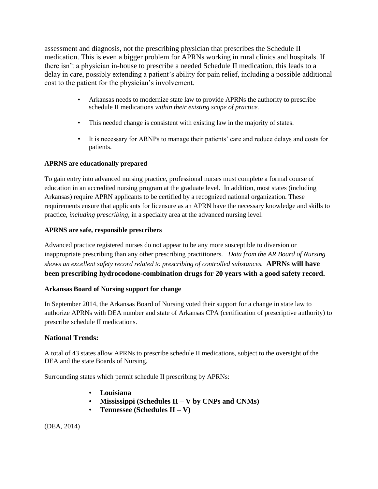assessment and diagnosis, not the prescribing physician that prescribes the Schedule II medication. This is even a bigger problem for APRNs working in rural clinics and hospitals. If there isn't a physician in-house to prescribe a needed Schedule II medication, this leads to a delay in care, possibly extending a patient's ability for pain relief, including a possible additional cost to the patient for the physician's involvement.

- Arkansas needs to modernize state law to provide APRNs the authority to prescribe schedule II medications *within their existing scope of practice.*
- This needed change is consistent with existing law in the majority of states.
- It is necessary for ARNPs to manage their patients' care and reduce delays and costs for patients.

# **APRNS are educationally prepared**

To gain entry into advanced nursing practice, professional nurses must complete a formal course of education in an accredited nursing program at the graduate level. In addition, most states (including Arkansas) require APRN applicants to be certified by a recognized national organization. These requirements ensure that applicants for licensure as an APRN have the necessary knowledge and skills to practice, *including prescribing*, in a specialty area at the advanced nursing level.

## **APRNS are safe, responsible prescribers**

Advanced practice registered nurses do not appear to be any more susceptible to diversion or inappropriate prescribing than any other prescribing practitioners. *Data from the AR Board of Nursing shows an excellent safety record related to prescribing of controlled substances.* **APRNs will have been prescribing hydrocodone-combination drugs for 20 years with a good safety record.**

### **Arkansas Board of Nursing support for change**

In September 2014, the Arkansas Board of Nursing voted their support for a change in state law to authorize APRNs with DEA number and state of Arkansas CPA (certification of prescriptive authority) to prescribe schedule II medications.

# **National Trends:**

A total of 43 states allow APRNs to prescribe schedule II medications, subject to the oversight of the DEA and the state Boards of Nursing.

Surrounding states which permit schedule II prescribing by APRNs:

- **Louisiana**
- **Mississippi (Schedules II – V by CNPs and CNMs)**
- **Tennessee (Schedules II – V)**

(DEA, 2014)